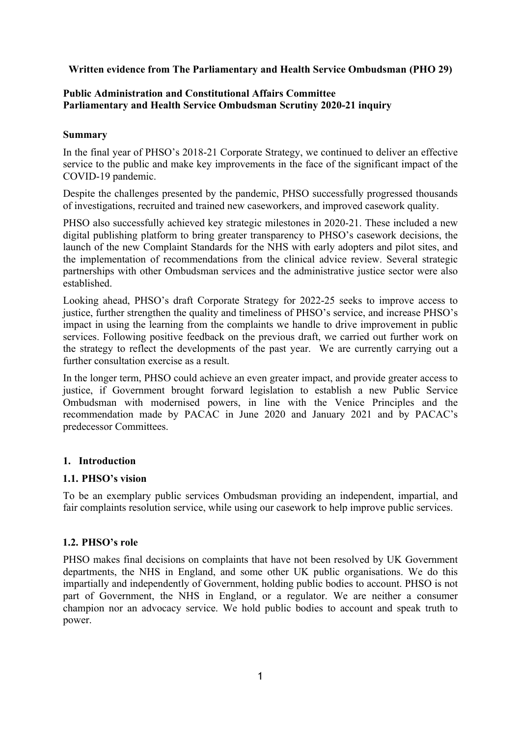### **Written evidence from The Parliamentary and Health Service Ombudsman (PHO 29)**

### **[Public](https://admin.committees.parliament.uk/Committee/Edit/327) [Administration](https://admin.committees.parliament.uk/Committee/Edit/327) [and](https://admin.committees.parliament.uk/Committee/Edit/327) [Constitutional](https://admin.committees.parliament.uk/Committee/Edit/327) [Affairs](https://admin.committees.parliament.uk/Committee/Edit/327) [Committee](https://admin.committees.parliament.uk/Committee/Edit/327) [Parliamentary](https://admin.committees.parliament.uk/Committee/327/CommitteeBusiness/Edit/1503) [and](https://admin.committees.parliament.uk/Committee/327/CommitteeBusiness/Edit/1503) [Health](https://admin.committees.parliament.uk/Committee/327/CommitteeBusiness/Edit/1503) [Service](https://admin.committees.parliament.uk/Committee/327/CommitteeBusiness/Edit/1503) [Ombudsman](https://admin.committees.parliament.uk/Committee/327/CommitteeBusiness/Edit/1503) [Scrutiny](https://admin.committees.parliament.uk/Committee/327/CommitteeBusiness/Edit/1503) [2020-21](https://admin.committees.parliament.uk/Committee/327/CommitteeBusiness/Edit/1503) inquiry**

### **Summary**

In the final year of PHSO's 2018-21 Corporate Strategy, we continued to deliver an effective service to the public and make key improvements in the face of the significant impact of the COVID-19 pandemic.

Despite the challenges presented by the pandemic, PHSO successfully progressed thousands of investigations, recruited and trained new caseworkers, and improved casework quality.

PHSO also successfully achieved key strategic milestones in 2020-21. These included a new digital publishing platform to bring greater transparency to PHSO's casework decisions, the launch of the new Complaint Standards for the NHS with early adopters and pilot sites, and the implementation of recommendations from the clinical advice review. Several strategic partnerships with other Ombudsman services and the administrative justice sector were also established.

Looking ahead, PHSO's draft Corporate Strategy for 2022-25 seeks to improve access to justice, further strengthen the quality and timeliness of PHSO's service, and increase PHSO's impact in using the learning from the complaints we handle to drive improvement in public services. Following positive feedback on the previous draft, we carried out further work on the strategy to reflect the developments of the past year. We are currently carrying out a further consultation exercise as a result.

In the longer term, PHSO could achieve an even greater impact, and provide greater access to justice, if Government brought forward legislation to establish a new Public Service Ombudsman with modernised powers, in line with the Venice Principles and the recommendation made by PACAC in June 2020 and January 2021 and by PACAC's predecessor Committees.

# **1. Introduction**

# **1.1. PHSO's vision**

To be an exemplary public services Ombudsman providing an independent, impartial, and fair complaints resolution service, while using our casework to help improve public services.

# **1.2. PHSO's role**

PHSO makes final decisions on complaints that have not been resolved by UK Government departments, the NHS in England, and some other UK public organisations. We do this impartially and independently of Government, holding public bodies to account. PHSO is not part of Government, the NHS in England, or a regulator. We are neither a consumer champion nor an advocacy service. We hold public bodies to account and speak truth to power.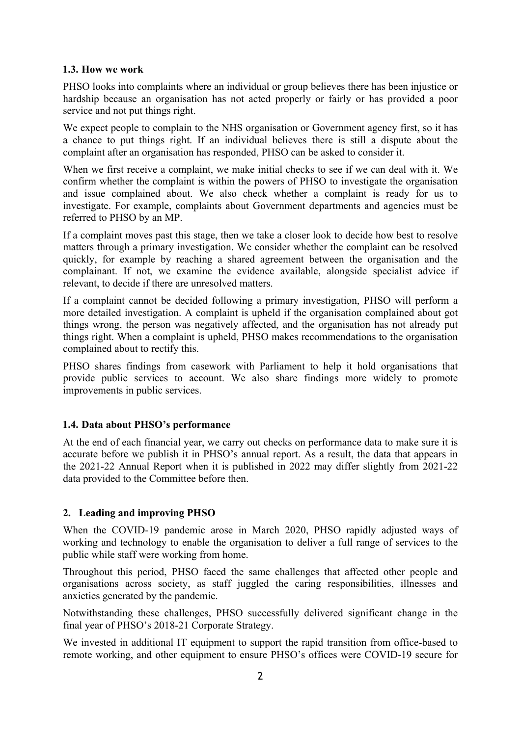### **1.3. How we work**

PHSO looks into complaints where an individual or group believes there has been injustice or hardship because an organisation has not acted properly or fairly or has provided a poor service and not put things right.

We expect people to complain to the NHS organisation or Government agency first, so it has a chance to put things right. If an individual believes there is still a dispute about the complaint after an organisation has responded, PHSO can be asked to consider it.

When we first receive a complaint, we make initial checks to see if we can deal with it. We confirm whether the complaint is within the powers of PHSO to investigate the organisation and issue complained about. We also check whether a complaint is ready for us to investigate. For example, complaints about Government departments and agencies must be referred to PHSO by an MP.

If a complaint moves past this stage, then we take a closer look to decide how best to resolve matters through a primary investigation. We consider whether the complaint can be resolved quickly, for example by reaching a shared agreement between the organisation and the complainant. If not, we examine the evidence available, alongside specialist advice if relevant, to decide if there are unresolved matters.

If a complaint cannot be decided following a primary investigation, PHSO will perform a more detailed investigation. A complaint is upheld if the organisation complained about got things wrong, the person was negatively affected, and the organisation has not already put things right. When a complaint is upheld, PHSO makes recommendations to the organisation complained about to rectify this.

PHSO shares findings from casework with Parliament to help it hold organisations that provide public services to account. We also share findings more widely to promote improvements in public services.

# **1.4. Data about PHSO's performance**

At the end of each financial year, we carry out checks on performance data to make sure it is accurate before we publish it in PHSO's annual report. As a result, the data that appears in the 2021-22 Annual Report when it is published in 2022 may differ slightly from 2021-22 data provided to the Committee before then.

# **2. Leading and improving PHSO**

When the COVID-19 pandemic arose in March 2020, PHSO rapidly adjusted ways of working and technology to enable the organisation to deliver a full range of services to the public while staff were working from home.

Throughout this period, PHSO faced the same challenges that affected other people and organisations across society, as staff juggled the caring responsibilities, illnesses and anxieties generated by the pandemic.

Notwithstanding these challenges, PHSO successfully delivered significant change in the final year of PHSO's 2018-21 Corporate Strategy.

We invested in additional IT equipment to support the rapid transition from office-based to remote working, and other equipment to ensure PHSO's offices were COVID-19 secure for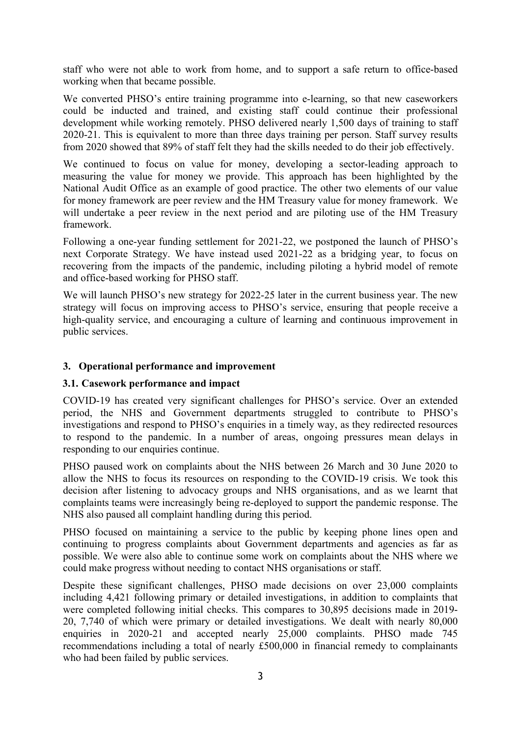staff who were not able to work from home, and to support a safe return to office-based working when that became possible.

We converted PHSO's entire training programme into e-learning, so that new caseworkers could be inducted and trained, and existing staff could continue their professional development while working remotely. PHSO delivered nearly 1,500 days of training to staff 2020-21. This is equivalent to more than three days training per person. Staff survey results from 2020 showed that 89% of staff felt they had the skills needed to do their job effectively.

We continued to focus on value for money, developing a sector-leading approach to measuring the value for money we provide. This approach has been highlighted by the National Audit Office as an example of good practice. The other two elements of our value for money framework are peer review and the HM Treasury value for money framework. We will undertake a peer review in the next period and are piloting use of the HM Treasury framework.

Following a one-year funding settlement for 2021-22, we postponed the launch of PHSO's next Corporate Strategy. We have instead used 2021-22 as a bridging year, to focus on recovering from the impacts of the pandemic, including piloting a hybrid model of remote and office-based working for PHSO staff.

We will launch PHSO's new strategy for 2022-25 later in the current business year. The new strategy will focus on improving access to PHSO's service, ensuring that people receive a high-quality service, and encouraging a culture of learning and continuous improvement in public services.

### **3. Operational performance and improvement**

### **3.1. Casework performance and impact**

COVID-19 has created very significant challenges for PHSO's service. Over an extended period, the NHS and Government departments struggled to contribute to PHSO's investigations and respond to PHSO's enquiries in a timely way, as they redirected resources to respond to the pandemic. In a number of areas, ongoing pressures mean delays in responding to our enquiries continue.

PHSO paused work on complaints about the NHS between 26 March and 30 June 2020 to allow the NHS to focus its resources on responding to the COVID-19 crisis. We took this decision after listening to advocacy groups and NHS organisations, and as we learnt that complaints teams were increasingly being re-deployed to support the pandemic response. The NHS also paused all complaint handling during this period.

PHSO focused on maintaining a service to the public by keeping phone lines open and continuing to progress complaints about Government departments and agencies as far as possible. We were also able to continue some work on complaints about the NHS where we could make progress without needing to contact NHS organisations or staff.

Despite these significant challenges, PHSO made decisions on over 23,000 complaints including 4,421 following primary or detailed investigations, in addition to complaints that were completed following initial checks. This compares to 30,895 decisions made in 2019- 20, 7,740 of which were primary or detailed investigations. We dealt with nearly 80,000 enquiries in 2020-21 and accepted nearly 25,000 complaints. PHSO made 745 recommendations including a total of nearly £500,000 in financial remedy to complainants who had been failed by public services.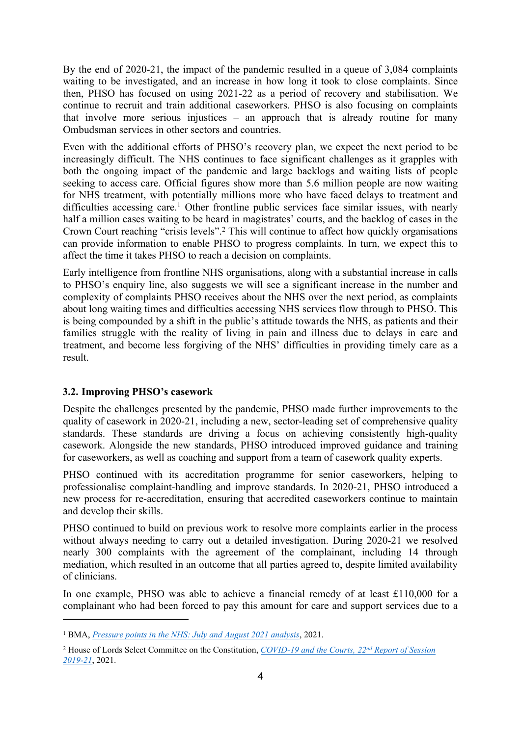By the end of 2020-21, the impact of the pandemic resulted in a queue of 3,084 complaints waiting to be investigated, and an increase in how long it took to close complaints. Since then, PHSO has focused on using 2021-22 as a period of recovery and stabilisation. We continue to recruit and train additional caseworkers. PHSO is also focusing on complaints that involve more serious injustices – an approach that is already routine for many Ombudsman services in other sectors and countries.

Even with the additional efforts of PHSO's recovery plan, we expect the next period to be increasingly difficult. The NHS continues to face significant challenges as it grapples with both the ongoing impact of the pandemic and large backlogs and waiting lists of people seeking to access care. Official figures show more than 5.6 million people are now waiting for NHS treatment, with potentially millions more who have faced delays to treatment and difficulties accessing care.<sup>1</sup> Other frontline public services face similar issues, with nearly half a million cases waiting to be heard in magistrates' courts, and the backlog of cases in the Crown Court reaching "crisis levels".<sup>2</sup> This will continue to affect how quickly organisations can provide information to enable PHSO to progress complaints. In turn, we expect this to affect the time it takes PHSO to reach a decision on complaints.

Early intelligence from frontline NHS organisations, along with a substantial increase in calls to PHSO's enquiry line, also suggests we will see a significant increase in the number and complexity of complaints PHSO receives about the NHS over the next period, as complaints about long waiting times and difficulties accessing NHS services flow through to PHSO. This is being compounded by a shift in the public's attitude towards the NHS, as patients and their families struggle with the reality of living in pain and illness due to delays in care and treatment, and become less forgiving of the NHS' difficulties in providing timely care as a result.

### **3.2. Improving PHSO's casework**

Despite the challenges presented by the pandemic, PHSO made further improvements to the quality of casework in 2020-21, including a new, sector-leading set of comprehensive quality standards. These standards are driving a focus on achieving consistently high-quality casework. Alongside the new standards, PHSO introduced improved guidance and training for caseworkers, as well as coaching and support from a team of casework quality experts.

PHSO continued with its accreditation programme for senior caseworkers, helping to professionalise complaint-handling and improve standards. In 2020-21, PHSO introduced a new process for re-accreditation, ensuring that accredited caseworkers continue to maintain and develop their skills.

PHSO continued to build on previous work to resolve more complaints earlier in the process without always needing to carry out a detailed investigation. During 2020-21 we resolved nearly 300 complaints with the agreement of the complainant, including 14 through mediation, which resulted in an outcome that all parties agreed to, despite limited availability of clinicians.

In one example, PHSO was able to achieve a financial remedy of at least £110,000 for a complainant who had been forced to pay this amount for care and support services due to a

<sup>1</sup> BMA, *[Pressure](https://www.bma.org.uk/advice-and-support/nhs-delivery-and-workforce/pressures/pressure-points-in-the-nhs) [points](https://www.bma.org.uk/advice-and-support/nhs-delivery-and-workforce/pressures/pressure-points-in-the-nhs) [in](https://www.bma.org.uk/advice-and-support/nhs-delivery-and-workforce/pressures/pressure-points-in-the-nhs) [the](https://www.bma.org.uk/advice-and-support/nhs-delivery-and-workforce/pressures/pressure-points-in-the-nhs) [NHS:](https://www.bma.org.uk/advice-and-support/nhs-delivery-and-workforce/pressures/pressure-points-in-the-nhs) [July](https://www.bma.org.uk/advice-and-support/nhs-delivery-and-workforce/pressures/pressure-points-in-the-nhs) [and](https://www.bma.org.uk/advice-and-support/nhs-delivery-and-workforce/pressures/pressure-points-in-the-nhs) [August](https://www.bma.org.uk/advice-and-support/nhs-delivery-and-workforce/pressures/pressure-points-in-the-nhs) [2021](https://www.bma.org.uk/advice-and-support/nhs-delivery-and-workforce/pressures/pressure-points-in-the-nhs) [analysis](https://www.bma.org.uk/advice-and-support/nhs-delivery-and-workforce/pressures/pressure-points-in-the-nhs)*, 2021.

<sup>2</sup> House of Lords Select Committee on the Constitution, *[COVID-19](https://committees.parliament.uk/committee/172/constitution-committee/news/153596/report-published-on-the-impact-of-covid19-on-courts-and-tribunals-in-england-and-wales/) [and](https://committees.parliament.uk/committee/172/constitution-committee/news/153596/report-published-on-the-impact-of-covid19-on-courts-and-tribunals-in-england-and-wales/) [the](https://committees.parliament.uk/committee/172/constitution-committee/news/153596/report-published-on-the-impact-of-covid19-on-courts-and-tribunals-in-england-and-wales/) [Courts,](https://committees.parliament.uk/committee/172/constitution-committee/news/153596/report-published-on-the-impact-of-covid19-on-courts-and-tribunals-in-england-and-wales/) [22](https://committees.parliament.uk/committee/172/constitution-committee/news/153596/report-published-on-the-impact-of-covid19-on-courts-and-tribunals-in-england-and-wales/)[nd](https://committees.parliament.uk/committee/172/constitution-committee/news/153596/report-published-on-the-impact-of-covid19-on-courts-and-tribunals-in-england-and-wales/) [Report](https://committees.parliament.uk/committee/172/constitution-committee/news/153596/report-published-on-the-impact-of-covid19-on-courts-and-tribunals-in-england-and-wales/) [of](https://committees.parliament.uk/committee/172/constitution-committee/news/153596/report-published-on-the-impact-of-covid19-on-courts-and-tribunals-in-england-and-wales/) [Session](https://committees.parliament.uk/committee/172/constitution-committee/news/153596/report-published-on-the-impact-of-covid19-on-courts-and-tribunals-in-england-and-wales/) [2019-21](https://committees.parliament.uk/committee/172/constitution-committee/news/153596/report-published-on-the-impact-of-covid19-on-courts-and-tribunals-in-england-and-wales/)*, 2021.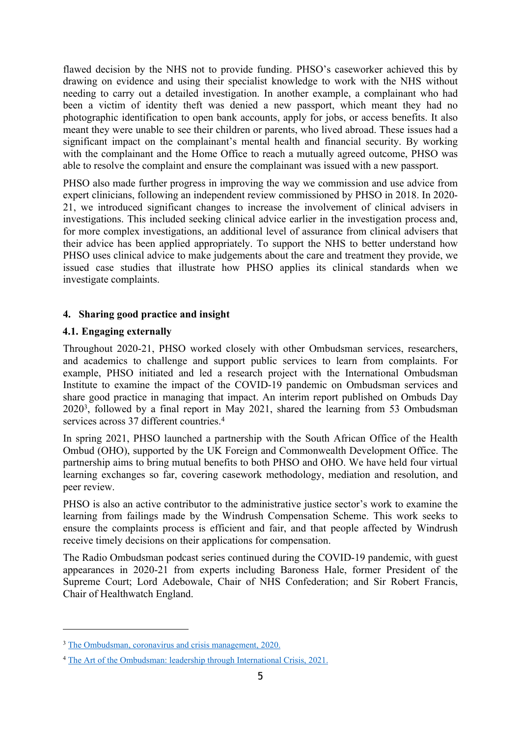flawed decision by the NHS not to provide funding. PHSO's caseworker achieved this by drawing on evidence and using their specialist knowledge to work with the NHS without needing to carry out a detailed investigation. In another example, a complainant who had been a victim of identity theft was denied a new passport, which meant they had no photographic identification to open bank accounts, apply for jobs, or access benefits. It also meant they were unable to see their children or parents, who lived abroad. These issues had a significant impact on the complainant's mental health and financial security. By working with the complainant and the Home Office to reach a mutually agreed outcome, PHSO was able to resolve the complaint and ensure the complainant was issued with a new passport.

PHSO also made further progress in improving the way we commission and use advice from expert clinicians, following an independent review commissioned by PHSO in 2018. In 2020- 21, we introduced significant changes to increase the involvement of clinical advisers in investigations. This included seeking clinical advice earlier in the investigation process and, for more complex investigations, an additional level of assurance from clinical advisers that their advice has been applied appropriately. To support the NHS to better understand how PHSO uses clinical advice to make judgements about the care and treatment they provide, we issued case studies that illustrate how PHSO applies its clinical standards when we investigate complaints.

# **4. Sharing good practice and insight**

### **4.1. Engaging externally**

Throughout 2020-21, PHSO worked closely with other Ombudsman services, researchers, and academics to challenge and support public services to learn from complaints. For example, PHSO initiated and led a research project with the International Ombudsman Institute to examine the impact of the COVID-19 pandemic on Ombudsman services and share good practice in managing that impact. An interim report published on Ombuds Day 2020<sup>3</sup> , followed by a final report in May 2021, shared the learning from 53 Ombudsman services across 37 different countries.<sup>4</sup>

In spring 2021, PHSO launched a partnership with the South African Office of the Health Ombud (OHO), supported by the UK Foreign and Commonwealth Development Office. The partnership aims to bring mutual benefits to both PHSO and OHO. We have held four virtual learning exchanges so far, covering casework methodology, mediation and resolution, and peer review.

PHSO is also an active contributor to the administrative justice sector's work to examine the learning from failings made by the Windrush Compensation Scheme. This work seeks to ensure the complaints process is efficient and fair, and that people affected by Windrush receive timely decisions on their applications for compensation.

The Radio Ombudsman podcast series continued during the COVID-19 pandemic, with guest appearances in 2020-21 from experts including Baroness Hale, former President of the Supreme Court; Lord Adebowale, Chair of NHS Confederation; and Sir Robert Francis, Chair of Healthwatch England.

<sup>3</sup> [The](https://www.ombudsman.org.uk/publications/ombudsman-coronavirus-and-crisis-management) [Ombudsman,](https://www.ombudsman.org.uk/publications/ombudsman-coronavirus-and-crisis-management) [coronavirus](https://www.ombudsman.org.uk/publications/ombudsman-coronavirus-and-crisis-management) [and](https://www.ombudsman.org.uk/publications/ombudsman-coronavirus-and-crisis-management) [crisis](https://www.ombudsman.org.uk/publications/ombudsman-coronavirus-and-crisis-management) [management,](https://www.ombudsman.org.uk/publications/ombudsman-coronavirus-and-crisis-management) [2020.](https://www.ombudsman.org.uk/publications/ombudsman-coronavirus-and-crisis-management)

<sup>4</sup> [The](https://www.ombudsman.org.uk/publications/art-ombudsman-leadership-through-international-crisis) [Art](https://www.ombudsman.org.uk/publications/art-ombudsman-leadership-through-international-crisis) [of](https://www.ombudsman.org.uk/publications/art-ombudsman-leadership-through-international-crisis) [the](https://www.ombudsman.org.uk/publications/art-ombudsman-leadership-through-international-crisis) [Ombudsman:](https://www.ombudsman.org.uk/publications/art-ombudsman-leadership-through-international-crisis) [leadership](https://www.ombudsman.org.uk/publications/art-ombudsman-leadership-through-international-crisis) [through](https://www.ombudsman.org.uk/publications/art-ombudsman-leadership-through-international-crisis) [International](https://www.ombudsman.org.uk/publications/art-ombudsman-leadership-through-international-crisis) [Crisis,](https://www.ombudsman.org.uk/publications/art-ombudsman-leadership-through-international-crisis) [2021.](https://www.ombudsman.org.uk/publications/art-ombudsman-leadership-through-international-crisis)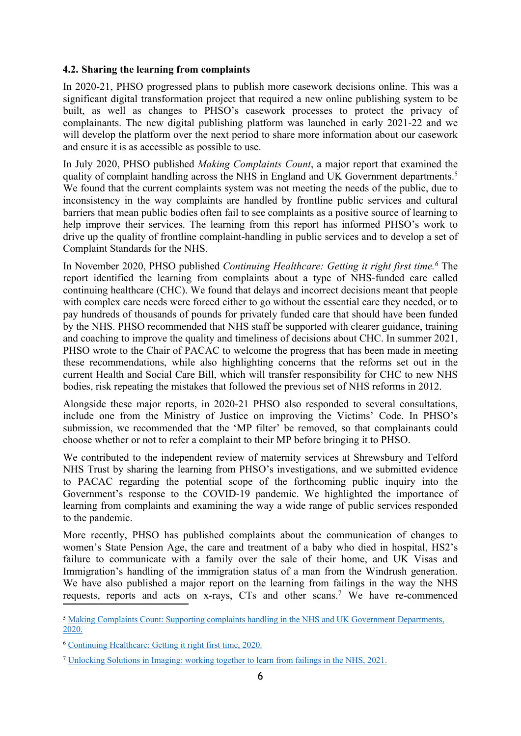### **4.2. Sharing the learning from complaints**

In 2020-21, PHSO progressed plans to publish more casework decisions online. This was a significant digital transformation project that required a new online publishing system to be built, as well as changes to PHSO's casework processes to protect the privacy of complainants. The new digital publishing platform was launched in early 2021-22 and we will develop the platform over the next period to share more information about our casework and ensure it is as accessible as possible to use.

In July 2020, PHSO published *Making Complaints Count*, a major report that examined the quality of complaint handling across the NHS in England and UK Government departments.<sup>5</sup> We found that the current complaints system was not meeting the needs of the public, due to inconsistency in the way complaints are handled by frontline public services and cultural barriers that mean public bodies often fail to see complaints as a positive source of learning to help improve their services. The learning from this report has informed PHSO's work to drive up the quality of frontline complaint-handling in public services and to develop a set of Complaint Standards for the NHS.

In November 2020, PHSO published *Continuing Healthcare: Getting it right first time.<sup>6</sup>* The report identified the learning from complaints about a type of NHS-funded care called continuing healthcare (CHC). We found that delays and incorrect decisions meant that people with complex care needs were forced either to go without the essential care they needed, or to pay hundreds of thousands of pounds for privately funded care that should have been funded by the NHS. PHSO recommended that NHS staff be supported with clearer guidance, training and coaching to improve the quality and timeliness of decisions about CHC. In summer 2021, PHSO wrote to the Chair of PACAC to welcome the progress that has been made in meeting these recommendations, while also highlighting concerns that the reforms set out in the current Health and Social Care Bill, which will transfer responsibility for CHC to new NHS bodies, risk repeating the mistakes that followed the previous set of NHS reforms in 2012.

Alongside these major reports, in 2020-21 PHSO also responded to several consultations, include one from the Ministry of Justice on improving the Victims' Code. In PHSO's submission, we recommended that the 'MP filter' be removed, so that complainants could choose whether or not to refer a complaint to their MP before bringing it to PHSO.

We contributed to the independent review of maternity services at Shrewsbury and Telford NHS Trust by sharing the learning from PHSO's investigations, and we submitted evidence to PACAC regarding the potential scope of the forthcoming public inquiry into the Government's response to the COVID-19 pandemic. We highlighted the importance of learning from complaints and examining the way a wide range of public services responded to the pandemic.

More recently, PHSO has published complaints about the communication of changes to women's State Pension Age, the care and treatment of a baby who died in hospital, HS2's failure to communicate with a family over the sale of their home, and UK Visas and Immigration's handling of the immigration status of a man from the Windrush generation. We have also published a major report on the learning from failings in the way the NHS requests, reports and acts on x-rays, CTs and other scans.<sup>7</sup> We have re-commenced

<sup>5</sup> [Making](https://www.ombudsman.org.uk/publications/making-complaints-count-supporting-complaints-handling-nhs-and-uk-government) [Complaints](https://www.ombudsman.org.uk/publications/making-complaints-count-supporting-complaints-handling-nhs-and-uk-government) [Count:](https://www.ombudsman.org.uk/publications/making-complaints-count-supporting-complaints-handling-nhs-and-uk-government) [Supporting](https://www.ombudsman.org.uk/publications/making-complaints-count-supporting-complaints-handling-nhs-and-uk-government) [complaints](https://www.ombudsman.org.uk/publications/making-complaints-count-supporting-complaints-handling-nhs-and-uk-government) [handling](https://www.ombudsman.org.uk/publications/making-complaints-count-supporting-complaints-handling-nhs-and-uk-government) [in](https://www.ombudsman.org.uk/publications/making-complaints-count-supporting-complaints-handling-nhs-and-uk-government) [the](https://www.ombudsman.org.uk/publications/making-complaints-count-supporting-complaints-handling-nhs-and-uk-government) [NHS](https://www.ombudsman.org.uk/publications/making-complaints-count-supporting-complaints-handling-nhs-and-uk-government) [and](https://www.ombudsman.org.uk/publications/making-complaints-count-supporting-complaints-handling-nhs-and-uk-government) [UK](https://www.ombudsman.org.uk/publications/making-complaints-count-supporting-complaints-handling-nhs-and-uk-government) [Government](https://www.ombudsman.org.uk/publications/making-complaints-count-supporting-complaints-handling-nhs-and-uk-government) [Departments,](https://www.ombudsman.org.uk/publications/making-complaints-count-supporting-complaints-handling-nhs-and-uk-government) [2020.](https://www.ombudsman.org.uk/publications/making-complaints-count-supporting-complaints-handling-nhs-and-uk-government)

<sup>6</sup> [Continuing](https://www.ombudsman.org.uk/publications/continuing-healthcare-getting-it-right-first-time) [Healthcare:](https://www.ombudsman.org.uk/publications/continuing-healthcare-getting-it-right-first-time) [Getting](https://www.ombudsman.org.uk/publications/continuing-healthcare-getting-it-right-first-time) [it](https://www.ombudsman.org.uk/publications/continuing-healthcare-getting-it-right-first-time) [right](https://www.ombudsman.org.uk/publications/continuing-healthcare-getting-it-right-first-time) [first](https://www.ombudsman.org.uk/publications/continuing-healthcare-getting-it-right-first-time) [time,](https://www.ombudsman.org.uk/publications/continuing-healthcare-getting-it-right-first-time) [2020.](https://www.ombudsman.org.uk/publications/continuing-healthcare-getting-it-right-first-time)

<sup>7</sup> [Unlocking](https://www.ombudsman.org.uk/publications/unlocking-solutions-imaging-working-together-learn-failings-nhs) [Solutions](https://www.ombudsman.org.uk/publications/unlocking-solutions-imaging-working-together-learn-failings-nhs) [in](https://www.ombudsman.org.uk/publications/unlocking-solutions-imaging-working-together-learn-failings-nhs) [Imaging:](https://www.ombudsman.org.uk/publications/unlocking-solutions-imaging-working-together-learn-failings-nhs) [working](https://www.ombudsman.org.uk/publications/unlocking-solutions-imaging-working-together-learn-failings-nhs) [together](https://www.ombudsman.org.uk/publications/unlocking-solutions-imaging-working-together-learn-failings-nhs) [to](https://www.ombudsman.org.uk/publications/unlocking-solutions-imaging-working-together-learn-failings-nhs) [learn](https://www.ombudsman.org.uk/publications/unlocking-solutions-imaging-working-together-learn-failings-nhs) [from](https://www.ombudsman.org.uk/publications/unlocking-solutions-imaging-working-together-learn-failings-nhs) [failings](https://www.ombudsman.org.uk/publications/unlocking-solutions-imaging-working-together-learn-failings-nhs) [in](https://www.ombudsman.org.uk/publications/unlocking-solutions-imaging-working-together-learn-failings-nhs) [the](https://www.ombudsman.org.uk/publications/unlocking-solutions-imaging-working-together-learn-failings-nhs) [NHS,](https://www.ombudsman.org.uk/publications/unlocking-solutions-imaging-working-together-learn-failings-nhs) [2021.](https://www.ombudsman.org.uk/publications/unlocking-solutions-imaging-working-together-learn-failings-nhs)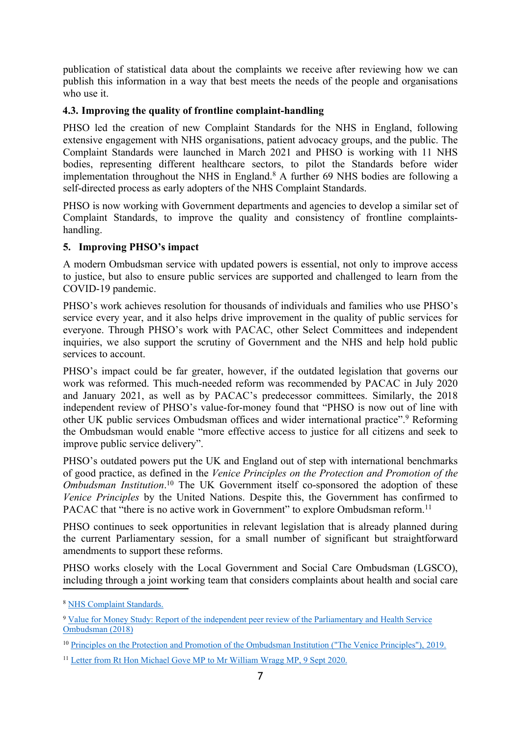publication of statistical data about the complaints we receive after reviewing how we can publish this information in a way that best meets the needs of the people and organisations who use it.

# **4.3. Improving the quality of frontline complaint-handling**

PHSO led the creation of new Complaint Standards for the NHS in England, following extensive engagement with NHS organisations, patient advocacy groups, and the public. The Complaint Standards were launched in March 2021 and PHSO is working with 11 NHS bodies, representing different healthcare sectors, to pilot the Standards before wider implementation throughout the NHS in England.<sup>8</sup> A further 69 NHS bodies are following a self-directed process as early adopters of the NHS Complaint Standards.

PHSO is now working with Government departments and agencies to develop a similar set of Complaint Standards, to improve the quality and consistency of frontline complaintshandling.

# **5. Improving PHSO's impact**

A modern Ombudsman service with updated powers is essential, not only to improve access to justice, but also to ensure public services are supported and challenged to learn from the COVID-19 pandemic.

PHSO's work achieves resolution for thousands of individuals and families who use PHSO's service every year, and it also helps drive improvement in the quality of public services for everyone. Through PHSO's work with PACAC, other Select Committees and independent inquiries, we also support the scrutiny of Government and the NHS and help hold public services to account.

PHSO's impact could be far greater, however, if the outdated legislation that governs our work was reformed. This much-needed reform was recommended by PACAC in July 2020 and January 2021, as well as by PACAC's predecessor committees. Similarly, the 2018 independent review of PHSO's value-for-money found that "PHSO is now out of line with other UK public services Ombudsman offices and wider international practice".<sup>9</sup> Reforming the Ombudsman would enable "more effective access to justice for all citizens and seek to improve public service delivery".

PHSO's outdated powers put the UK and England out of step with international benchmarks of good practice, as defined in the *Venice Principles on the Protection and Promotion of the Ombudsman Institution*. <sup>10</sup> The UK Government itself co-sponsored the adoption of these *Venice Principles* by the United Nations. Despite this, the Government has confirmed to PACAC that "there is no active work in Government" to explore Ombudsman reform.<sup>11</sup>

PHSO continues to seek opportunities in relevant legislation that is already planned during the current Parliamentary session, for a small number of significant but straightforward amendments to support these reforms.

PHSO works closely with the Local Government and Social Care Ombudsman (LGSCO), including through a joint working team that considers complaints about health and social care

<sup>8</sup> [NHS](https://www.ombudsman.org.uk/complaint-standards) [Complaint](https://www.ombudsman.org.uk/complaint-standards) [Standards.](https://www.ombudsman.org.uk/complaint-standards)

<sup>9</sup> [Value](https://www.ombudsman.org.uk/sites/default/files/Value%20for%20Money%20report%20final.pdf) [for](https://www.ombudsman.org.uk/sites/default/files/Value%20for%20Money%20report%20final.pdf) [Money](https://www.ombudsman.org.uk/sites/default/files/Value%20for%20Money%20report%20final.pdf) [Study:](https://www.ombudsman.org.uk/sites/default/files/Value%20for%20Money%20report%20final.pdf) [Report](https://www.ombudsman.org.uk/sites/default/files/Value%20for%20Money%20report%20final.pdf) [of](https://www.ombudsman.org.uk/sites/default/files/Value%20for%20Money%20report%20final.pdf) [the](https://www.ombudsman.org.uk/sites/default/files/Value%20for%20Money%20report%20final.pdf) [independent](https://www.ombudsman.org.uk/sites/default/files/Value%20for%20Money%20report%20final.pdf) [peer](https://www.ombudsman.org.uk/sites/default/files/Value%20for%20Money%20report%20final.pdf) [review](https://www.ombudsman.org.uk/sites/default/files/Value%20for%20Money%20report%20final.pdf) [of](https://www.ombudsman.org.uk/sites/default/files/Value%20for%20Money%20report%20final.pdf) [the](https://www.ombudsman.org.uk/sites/default/files/Value%20for%20Money%20report%20final.pdf) [Parliamentary](https://www.ombudsman.org.uk/sites/default/files/Value%20for%20Money%20report%20final.pdf) [and](https://www.ombudsman.org.uk/sites/default/files/Value%20for%20Money%20report%20final.pdf) [Health](https://www.ombudsman.org.uk/sites/default/files/Value%20for%20Money%20report%20final.pdf) [Service](https://www.ombudsman.org.uk/sites/default/files/Value%20for%20Money%20report%20final.pdf) [Ombudsman](https://www.ombudsman.org.uk/sites/default/files/Value%20for%20Money%20report%20final.pdf) (2018)

<sup>10</sup> [Principles](https://www.venice.coe.int/webforms/documents/default.aspx?pdffile=CDL-AD(2019)005-e) [on](https://www.venice.coe.int/webforms/documents/default.aspx?pdffile=CDL-AD(2019)005-e) [the](https://www.venice.coe.int/webforms/documents/default.aspx?pdffile=CDL-AD(2019)005-e) [Protection](https://www.venice.coe.int/webforms/documents/default.aspx?pdffile=CDL-AD(2019)005-e) [and](https://www.venice.coe.int/webforms/documents/default.aspx?pdffile=CDL-AD(2019)005-e) [Promotion](https://www.venice.coe.int/webforms/documents/default.aspx?pdffile=CDL-AD(2019)005-e) [of](https://www.venice.coe.int/webforms/documents/default.aspx?pdffile=CDL-AD(2019)005-e) [the](https://www.venice.coe.int/webforms/documents/default.aspx?pdffile=CDL-AD(2019)005-e) [Ombudsman](https://www.venice.coe.int/webforms/documents/default.aspx?pdffile=CDL-AD(2019)005-e) [Institution](https://www.venice.coe.int/webforms/documents/default.aspx?pdffile=CDL-AD(2019)005-e) [\("The](https://www.venice.coe.int/webforms/documents/default.aspx?pdffile=CDL-AD(2019)005-e) [Venice](https://www.venice.coe.int/webforms/documents/default.aspx?pdffile=CDL-AD(2019)005-e) [Principles"\),](https://www.venice.coe.int/webforms/documents/default.aspx?pdffile=CDL-AD(2019)005-e) [2019.](https://www.venice.coe.int/webforms/documents/default.aspx?pdffile=CDL-AD(2019)005-e)

<sup>11</sup> [Letter](https://committees.parliament.uk/publications/2479/documents/24646/default/) [from](https://committees.parliament.uk/publications/2479/documents/24646/default/) [Rt](https://committees.parliament.uk/publications/2479/documents/24646/default/) [Hon](https://committees.parliament.uk/publications/2479/documents/24646/default/) [Michael](https://committees.parliament.uk/publications/2479/documents/24646/default/) [Gove](https://committees.parliament.uk/publications/2479/documents/24646/default/) [MP](https://committees.parliament.uk/publications/2479/documents/24646/default/) [to](https://committees.parliament.uk/publications/2479/documents/24646/default/) [Mr](https://committees.parliament.uk/publications/2479/documents/24646/default/) [William](https://committees.parliament.uk/publications/2479/documents/24646/default/) [Wragg](https://committees.parliament.uk/publications/2479/documents/24646/default/) [MP,](https://committees.parliament.uk/publications/2479/documents/24646/default/) [9](https://committees.parliament.uk/publications/2479/documents/24646/default/) [Sept](https://committees.parliament.uk/publications/2479/documents/24646/default/) [2020.](https://committees.parliament.uk/publications/2479/documents/24646/default/)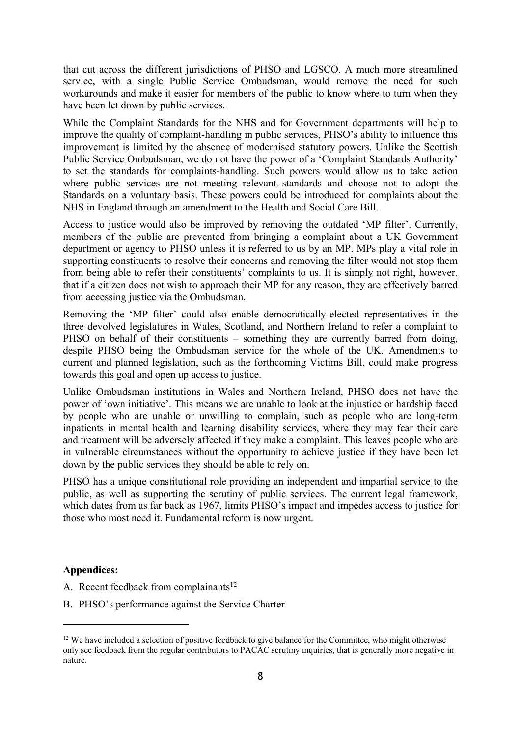that cut across the different jurisdictions of PHSO and LGSCO. A much more streamlined service, with a single Public Service Ombudsman, would remove the need for such workarounds and make it easier for members of the public to know where to turn when they have been let down by public services.

While the Complaint Standards for the NHS and for Government departments will help to improve the quality of complaint-handling in public services, PHSO's ability to influence this improvement is limited by the absence of modernised statutory powers. Unlike the Scottish Public Service Ombudsman, we do not have the power of a 'Complaint Standards Authority' to set the standards for complaints-handling. Such powers would allow us to take action where public services are not meeting relevant standards and choose not to adopt the Standards on a voluntary basis. These powers could be introduced for complaints about the NHS in England through an amendment to the Health and Social Care Bill.

Access to justice would also be improved by removing the outdated 'MP filter'. Currently, members of the public are prevented from bringing a complaint about a UK Government department or agency to PHSO unless it is referred to us by an MP. MPs play a vital role in supporting constituents to resolve their concerns and removing the filter would not stop them from being able to refer their constituents' complaints to us. It is simply not right, however, that if a citizen does not wish to approach their MP for any reason, they are effectively barred from accessing justice via the Ombudsman.

Removing the 'MP filter' could also enable democratically-elected representatives in the three devolved legislatures in Wales, Scotland, and Northern Ireland to refer a complaint to PHSO on behalf of their constituents – something they are currently barred from doing, despite PHSO being the Ombudsman service for the whole of the UK. Amendments to current and planned legislation, such as the forthcoming Victims Bill, could make progress towards this goal and open up access to justice.

Unlike Ombudsman institutions in Wales and Northern Ireland, PHSO does not have the power of 'own initiative'. This means we are unable to look at the injustice or hardship faced by people who are unable or unwilling to complain, such as people who are long-term inpatients in mental health and learning disability services, where they may fear their care and treatment will be adversely affected if they make a complaint. This leaves people who are in vulnerable circumstances without the opportunity to achieve justice if they have been let down by the public services they should be able to rely on.

PHSO has a unique constitutional role providing an independent and impartial service to the public, as well as supporting the scrutiny of public services. The current legal framework, which dates from as far back as 1967, limits PHSO's impact and impedes access to justice for those who most need it. Fundamental reform is now urgent.

#### **Appendices:**

- A. Recent feedback from complainants<sup>12</sup>
- B. PHSO's performance against the Service Charter

<sup>&</sup>lt;sup>12</sup> We have included a selection of positive feedback to give balance for the Committee, who might otherwise only see feedback from the regular contributors to PACAC scrutiny inquiries, that is generally more negative in nature.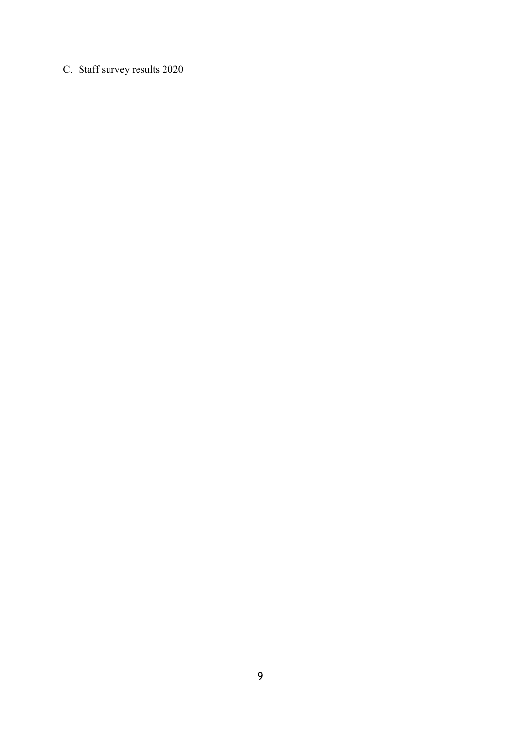C. Staff survey results 2020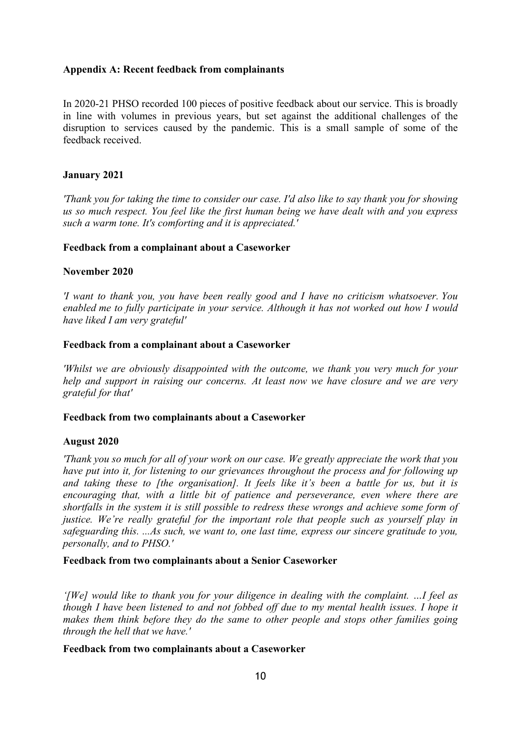### **Appendix A: Recent feedback from complainants**

In 2020-21 PHSO recorded 100 pieces of positive feedback about our service. This is broadly in line with volumes in previous years, but set against the additional challenges of the disruption to services caused by the pandemic. This is a small sample of some of the feedback received.

### **January 2021**

'Thank you for taking the time to consider our case. I'd also like to say thank you for showing *us so much respect. You feel like the first human being we have dealt with and you express such a warm tone. It's comforting and it is appreciated.'*

### **Feedback from a complainant about a Caseworker**

### **November 2020**

*'I want to thank you, you have been really good and I have no criticism whatsoever. You enabled me to fully participate in your service. Although it has not worked out how I would have liked I am very grateful'*

### **Feedback from a complainant about a Caseworker**

*'Whilst we are obviously disappointed with the outcome, we thank you very much for your help and support in raising our concerns. At least now we have closure and we are very grateful for that'*

### **Feedback from two complainants about a Caseworker**

### **August 2020**

Thank you so much for all of your work on our case. We greatly appreciate the work that you *have put into it, for listening to our grievances throughout the process and for following up and taking these to [the organisation]. It feels like it's been a battle for us, but it is encouraging that, with a little bit of patience and perseverance, even where there are shortfalls in the system it is still possible to redress these wrongs and achieve some form of justice. We're really grateful for the important role that people such as yourself play in safeguarding this. ...As such, we want to, one last time, express our sincere gratitude to you, personally, and to PHSO.'*

### **Feedback from two complainants about a Senior Caseworker**

*'[We] would like to thank you for your diligence in dealing with the complaint. …I feel as though I have been listened to and not fobbed off due to my mental health issues. I hope it makes them think before they do the same to other people and stops other families going through the hell that we have.'*

### **Feedback from two complainants about a Caseworker**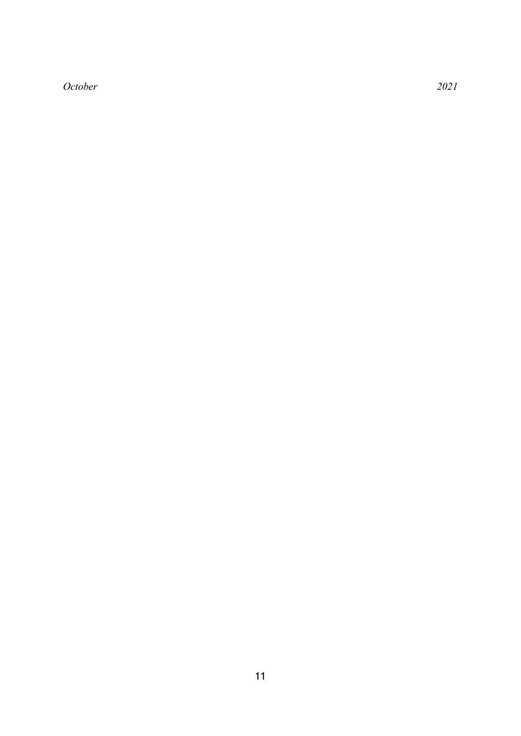*October 2021*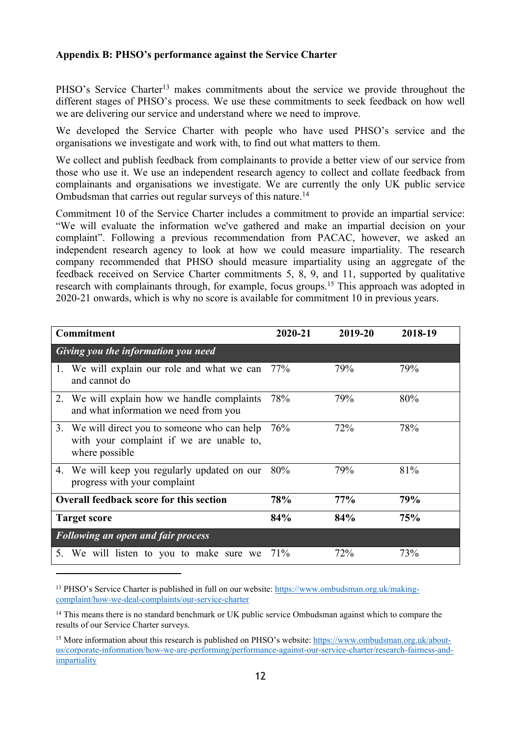### **Appendix B: PHSO's performance against the Service Charter**

PHSO's Service Charter<sup>13</sup> makes commitments about the service we provide throughout the different stages of PHSO's process. We use these commitments to seek feedback on how well we are delivering our service and understand where we need to improve.

We developed the Service Charter with people who have used PHSO's service and the organisations we investigate and work with, to find out what matters to them.

We collect and publish feedback from complainants to provide a better view of our service from those who use it. We use an independent research agency to collect and collate feedback from complainants and organisations we investigate. We are currently the only UK public service Ombudsman that carries out regular surveys of this nature.<sup>14</sup>

Commitment 10 of the Service Charter includes a commitment to provide an impartial service: "We will evaluate the information we've gathered and make an impartial decision on your complaint". Following a previous recommendation from PACAC, however, we asked an independent research agency to look at how we could measure impartiality. The research company recommended that PHSO should measure impartiality using an aggregate of the feedback received on Service Charter commitments 5, 8, 9, and 11, supported by qualitative research with complainants through, for example, focus groups.<sup>15</sup> This approach was adopted in 2020-21 onwards, which is why no score is available for commitment 10 in previous years.

| Commitment                                                                                                      | 2020-21 | 2019-20 | 2018-19 |  |  |
|-----------------------------------------------------------------------------------------------------------------|---------|---------|---------|--|--|
| Giving you the information you need                                                                             |         |         |         |  |  |
| We will explain our role and what we can<br>1.<br>and cannot do                                                 | 77%     | 79%     | 79%     |  |  |
| 2. We will explain how we handle complaints<br>and what information we need from you                            | 78%     | 79%     | 80%     |  |  |
| 3. We will direct you to someone who can help 76%<br>with your complaint if we are unable to,<br>where possible |         | 72%     | 78%     |  |  |
| 4. We will keep you regularly updated on our<br>progress with your complaint                                    | 80%     | 79%     | 81%     |  |  |
| <b>Overall feedback score for this section</b>                                                                  | 78%     | 77%     | 79%     |  |  |
| <b>Target score</b>                                                                                             | 84%     | 84%     | 75%     |  |  |
| <b>Following an open and fair process</b>                                                                       |         |         |         |  |  |
| We will listen to you to make sure we<br>$5_{-}$                                                                | 71%     | 72%     | 73%     |  |  |

<sup>13</sup> PHSO's Service Charter is published in full on our website: [https://www.ombudsman.org.uk/making](https://www.ombudsman.org.uk/making-complaint/how-we-deal-complaints/our-service-charter)[complaint/how-we-deal-complaints/our-service-charter](https://www.ombudsman.org.uk/making-complaint/how-we-deal-complaints/our-service-charter)

<sup>&</sup>lt;sup>14</sup> This means there is no standard benchmark or UK public service Ombudsman against which to compare the results of our Service Charter surveys.

<sup>15</sup> More information about this research is published on PHSO's website: [https://www.ombudsman.org.uk/about](https://www.ombudsman.org.uk/about-us/corporate-information/how-we-are-performing/performance-against-our-service-charter/research-fairness-and-impartiality)[us/corporate-information/how-we-are-performing/performance-against-our-service-charter/research-fairness-and](https://www.ombudsman.org.uk/about-us/corporate-information/how-we-are-performing/performance-against-our-service-charter/research-fairness-and-impartiality)[impartiality](https://www.ombudsman.org.uk/about-us/corporate-information/how-we-are-performing/performance-against-our-service-charter/research-fairness-and-impartiality)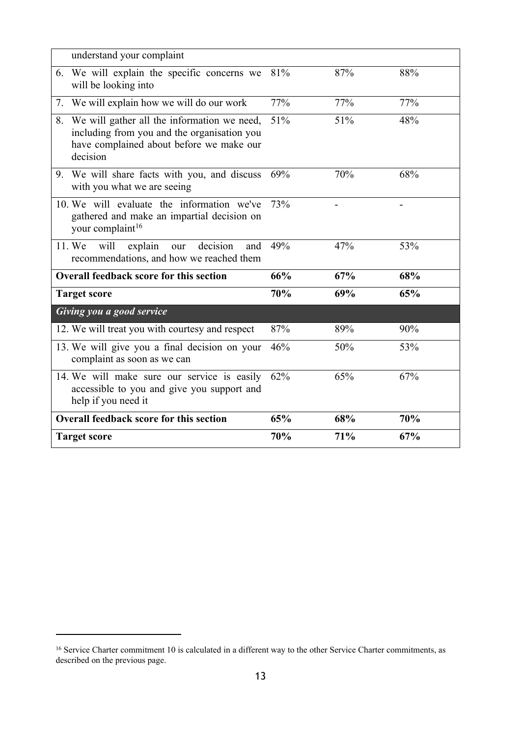| understand your complaint                                                                                                                                |     |     |     |
|----------------------------------------------------------------------------------------------------------------------------------------------------------|-----|-----|-----|
| 6. We will explain the specific concerns we<br>will be looking into                                                                                      | 81% | 87% | 88% |
| We will explain how we will do our work<br>7.                                                                                                            | 77% | 77% | 77% |
| We will gather all the information we need,<br>8.<br>including from you and the organisation you<br>have complained about before we make our<br>decision | 51% | 51% | 48% |
| We will share facts with you, and discuss<br>9.<br>with you what we are seeing                                                                           | 69% | 70% | 68% |
| 10. We will evaluate the information we've<br>gathered and make an impartial decision on<br>your complaint <sup>16</sup>                                 | 73% |     |     |
| 11. We<br>explain<br>decision<br>will<br>our<br>and<br>recommendations, and how we reached them                                                          | 49% | 47% | 53% |
| <b>Overall feedback score for this section</b>                                                                                                           | 66% | 67% | 68% |
| <b>Target score</b>                                                                                                                                      |     | 69% |     |
|                                                                                                                                                          | 70% |     | 65% |
| Giving you a good service                                                                                                                                |     |     |     |
| 12. We will treat you with courtesy and respect                                                                                                          | 87% | 89% | 90% |
| 13. We will give you a final decision on your<br>complaint as soon as we can                                                                             | 46% | 50% | 53% |
| 14. We will make sure our service is easily<br>accessible to you and give you support and<br>help if you need it                                         | 62% | 65% | 67% |
| <b>Overall feedback score for this section</b>                                                                                                           | 65% | 68% | 70% |

<sup>&</sup>lt;sup>16</sup> Service Charter commitment 10 is calculated in a different way to the other Service Charter commitments, as described on the previous page.